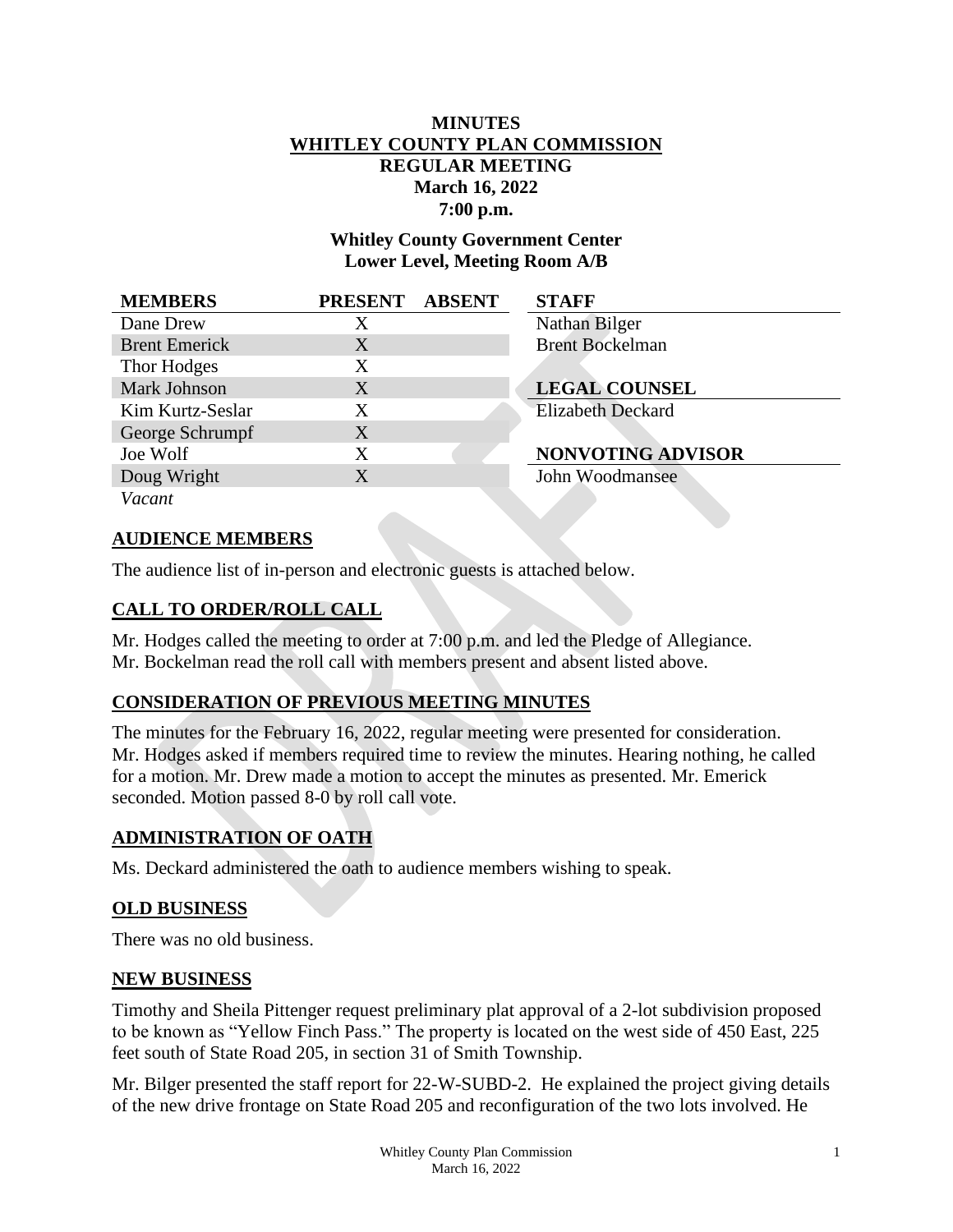# **MINUTES WHITLEY COUNTY PLAN COMMISSION REGULAR MEETING March 16, 2022 7:00 p.m.**

**Whitley County Government Center Lower Level, Meeting Room A/B**

| <b>MEMBERS</b>       | PRESENT ABSENT | <b>STAFF</b>             |
|----------------------|----------------|--------------------------|
| Dane Drew            | X              | Nathan Bilger            |
| <b>Brent Emerick</b> | X              | <b>Brent Bockelman</b>   |
| Thor Hodges          | X              |                          |
| Mark Johnson         | X              | <b>LEGAL COUNSEL</b>     |
| Kim Kurtz-Seslar     | X              | <b>Elizabeth Deckard</b> |
| George Schrumpf      | X              |                          |
| Joe Wolf             | X              | NONVOTING ADVISOR        |
| Doug Wright          | X              | John Woodmansee          |
| Vacant               |                |                          |

## **AUDIENCE MEMBERS**

The audience list of in-person and electronic guests is attached below.

## **CALL TO ORDER/ROLL CALL**

Mr. Hodges called the meeting to order at 7:00 p.m. and led the Pledge of Allegiance. Mr. Bockelman read the roll call with members present and absent listed above.

#### **CONSIDERATION OF PREVIOUS MEETING MINUTES**

The minutes for the February 16, 2022, regular meeting were presented for consideration. Mr. Hodges asked if members required time to review the minutes. Hearing nothing, he called for a motion. Mr. Drew made a motion to accept the minutes as presented. Mr. Emerick seconded. Motion passed 8-0 by roll call vote.

#### **ADMINISTRATION OF OATH**

Ms. Deckard administered the oath to audience members wishing to speak.

#### **OLD BUSINESS**

There was no old business.

#### **NEW BUSINESS**

Timothy and Sheila Pittenger request preliminary plat approval of a 2-lot subdivision proposed to be known as "Yellow Finch Pass." The property is located on the west side of 450 East, 225 feet south of State Road 205, in section 31 of Smith Township.

Mr. Bilger presented the staff report for 22-W-SUBD-2. He explained the project giving details of the new drive frontage on State Road 205 and reconfiguration of the two lots involved. He